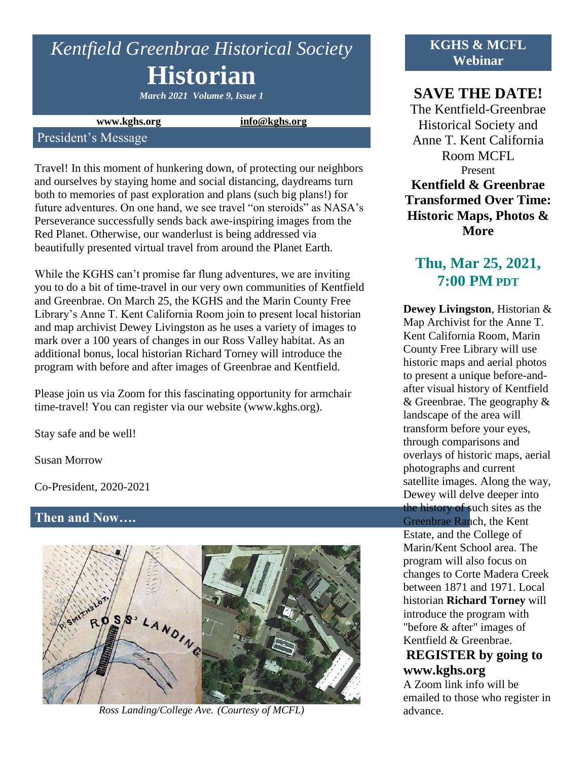# *Kentfield Greenbrae Historical Society* **Historian**

*March 2021 Volume 9, Issue 1*

**www.kghs.org [info@kghs.org](mailto:info@kghs.org)**

#### President's Message

Travel! In this moment of hunkering down, of protecting our neighbors and ourselves by staying home and social distancing, daydreams turn both to memories of past exploration and plans (such big plans!) for future adventures. On one hand, we see travel "on steroids" as NASA's Perseverance successfully sends back awe-inspiring images from the Red Planet. Otherwise, our wanderlust is being addressed via beautifully presented virtual travel from around the Planet Earth.

While the KGHS can't promise far flung adventures, we are inviting you to do a bit of time-travel in our very own communities of Kentfield and Greenbrae. On March 25, the KGHS and the Marin County Free Library's Anne T. Kent California Room join to present local historian and map archivist Dewey Livingston as he uses a variety of images to mark over a 100 years of changes in our Ross Valley habitat. As an additional bonus, local historian Richard Torney will introduce the program with before and after images of Greenbrae and Kentfield.

Please join us via Zoom for this fascinating opportunity for armchair time-travel! You can register via our website (www.kghs.org).

Stay safe and be well!

Susan Morrow

Co-President, 2020-2021

#### **Then and Now….**



*Ross Landing/College Ave. (Courtesy of MCFL)*

### **KGHS & MCFL Webinar**

# **SAVE THE DATE!**

The Kentfield-Greenbrae Historical Society and Anne T. Kent California Room MCFL Present **Kentfield & Greenbrae Transformed Over Time: Historic Maps, Photos & More** 

# **Thu, Mar 25, 2021, 7:00 PM PDT**

**Dewey Livingston**, Historian & Map Archivist for the Anne T. Kent California Room, Marin County Free Library will use historic maps and aerial photos to present a unique before-andafter visual history of Kentfield & Greenbrae. The geography & landscape of the area will transform before your eyes, through comparisons and overlays of historic maps, aerial photographs and current satellite images. Along the way, Dewey will delve deeper into the history of such sites as the Greenbrae Ranch, the Kent Estate, and the College of Marin/Kent School area. The program will also focus on changes to Corte Madera Creek between 1871 and 1971. Local historian **Richard Torney** will introduce the program with "before & after" images of Kentfield & Greenbrae.

## **REGISTER by going to www.kghs.org**

A Zoom link info will be emailed to those who register in advance.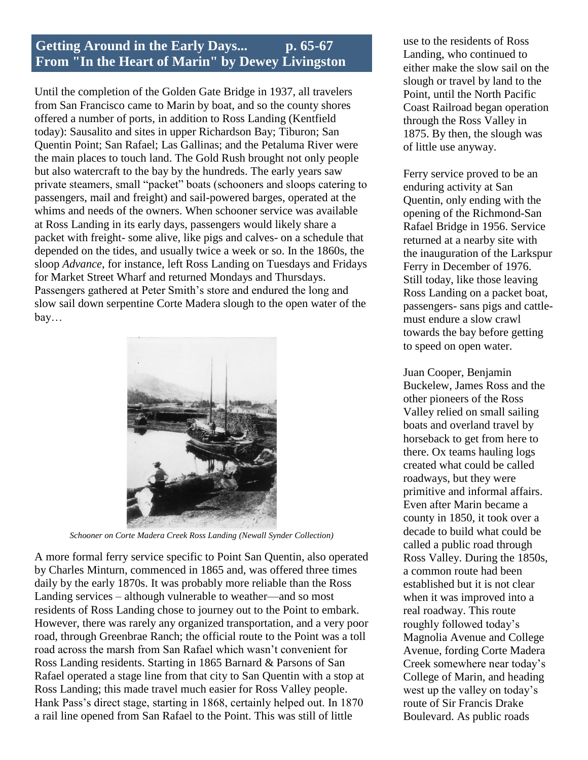# **Getting Around in the Early Days... p. 65-67 From "In the Heart of Marin" by Dewey Livingston**

Until the completion of the Golden Gate Bridge in 1937, all travelers from San Francisco came to Marin by boat, and so the county shores offered a number of ports, in addition to Ross Landing (Kentfield today): Sausalito and sites in upper Richardson Bay; Tiburon; San Quentin Point; San Rafael; Las Gallinas; and the Petaluma River were the main places to touch land. The Gold Rush brought not only people but also watercraft to the bay by the hundreds. The early years saw private steamers, small "packet" boats (schooners and sloops catering to passengers, mail and freight) and sail-powered barges, operated at the whims and needs of the owners. When schooner service was available at Ross Landing in its early days, passengers would likely share a packet with freight- some alive, like pigs and calves- on a schedule that depended on the tides, and usually twice a week or so. In the 1860s, the sloop *Advance*, for instance, left Ross Landing on Tuesdays and Fridays for Market Street Wharf and returned Mondays and Thursdays. Passengers gathered at Peter Smith's store and endured the long and slow sail down serpentine Corte Madera slough to the open water of the bay…



*Schooner on Corte Madera Creek Ross Landing (Newall Synder Collection)*

A more formal ferry service specific to Point San Quentin, also operated by Charles Minturn, commenced in 1865 and, was offered three times daily by the early 1870s. It was probably more reliable than the Ross Landing services – although vulnerable to weather—and so most residents of Ross Landing chose to journey out to the Point to embark. However, there was rarely any organized transportation, and a very poor road, through Greenbrae Ranch; the official route to the Point was a toll road across the marsh from San Rafael which wasn't convenient for Ross Landing residents. Starting in 1865 Barnard & Parsons of San Rafael operated a stage line from that city to San Quentin with a stop at Ross Landing; this made travel much easier for Ross Valley people. Hank Pass's direct stage, starting in 1868, certainly helped out. In 1870 a rail line opened from San Rafael to the Point. This was still of little

use to the residents of Ross Landing, who continued to either make the slow sail on the slough or travel by land to the Point, until the North Pacific Coast Railroad began operation through the Ross Valley in 1875. By then, the slough was of little use anyway.

Ferry service proved to be an enduring activity at San Quentin, only ending with the opening of the Richmond-San Rafael Bridge in 1956. Service returned at a nearby site with the inauguration of the Larkspur Ferry in December of 1976. Still today, like those leaving Ross Landing on a packet boat, passengers- sans pigs and cattlemust endure a slow crawl towards the bay before getting to speed on open water.

Juan Cooper, Benjamin Buckelew, James Ross and the other pioneers of the Ross Valley relied on small sailing boats and overland travel by horseback to get from here to there. Ox teams hauling logs created what could be called roadways, but they were primitive and informal affairs. Even after Marin became a county in 1850, it took over a decade to build what could be called a public road through Ross Valley. During the 1850s, a common route had been established but it is not clear when it was improved into a real roadway. This route roughly followed today's Magnolia Avenue and College Avenue, fording Corte Madera Creek somewhere near today's College of Marin, and heading west up the valley on today's route of Sir Francis Drake Boulevard. As public roads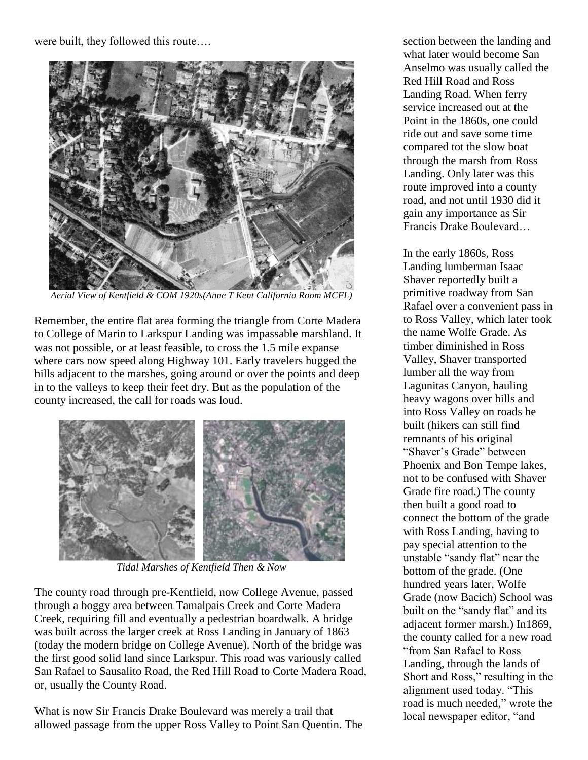were built, they followed this route….



*Aerial View of Kentfield & COM 1920s(Anne T Kent California Room MCFL)* 

Remember, the entire flat area forming the triangle from Corte Madera to College of Marin to Larkspur Landing was impassable marshland. It was not possible, or at least feasible, to cross the 1.5 mile expanse where cars now speed along Highway 101. Early travelers hugged the hills adjacent to the marshes, going around or over the points and deep in to the valleys to keep their feet dry. But as the population of the county increased, the call for roads was loud.



*Tidal Marshes of Kentfield Then & Now*

The county road through pre-Kentfield, now College Avenue, passed through a boggy area between Tamalpais Creek and Corte Madera Creek, requiring fill and eventually a pedestrian boardwalk. A bridge was built across the larger creek at Ross Landing in January of 1863 (today the modern bridge on College Avenue). North of the bridge was the first good solid land since Larkspur. This road was variously called San Rafael to Sausalito Road, the Red Hill Road to Corte Madera Road, or, usually the County Road.

What is now Sir Francis Drake Boulevard was merely a trail that allowed passage from the upper Ross Valley to Point San Quentin. The section between the landing and what later would become San Anselmo was usually called the Red Hill Road and Ross Landing Road. When ferry service increased out at the Point in the 1860s, one could ride out and save some time compared tot the slow boat through the marsh from Ross Landing. Only later was this route improved into a county road, and not until 1930 did it gain any importance as Sir Francis Drake Boulevard…

In the early 1860s, Ross Landing lumberman Isaac Shaver reportedly built a primitive roadway from San Rafael over a convenient pass in to Ross Valley, which later took the name Wolfe Grade. As timber diminished in Ross Valley, Shaver transported lumber all the way from Lagunitas Canyon, hauling heavy wagons over hills and into Ross Valley on roads he built (hikers can still find remnants of his original "Shaver's Grade" between Phoenix and Bon Tempe lakes, not to be confused with Shaver Grade fire road.) The county then built a good road to connect the bottom of the grade with Ross Landing, having to pay special attention to the unstable "sandy flat" near the bottom of the grade. (One hundred years later, Wolfe Grade (now Bacich) School was built on the "sandy flat" and its adjacent former marsh.) In1869, the county called for a new road "from San Rafael to Ross Landing, through the lands of Short and Ross," resulting in the alignment used today. "This road is much needed," wrote the local newspaper editor, "and